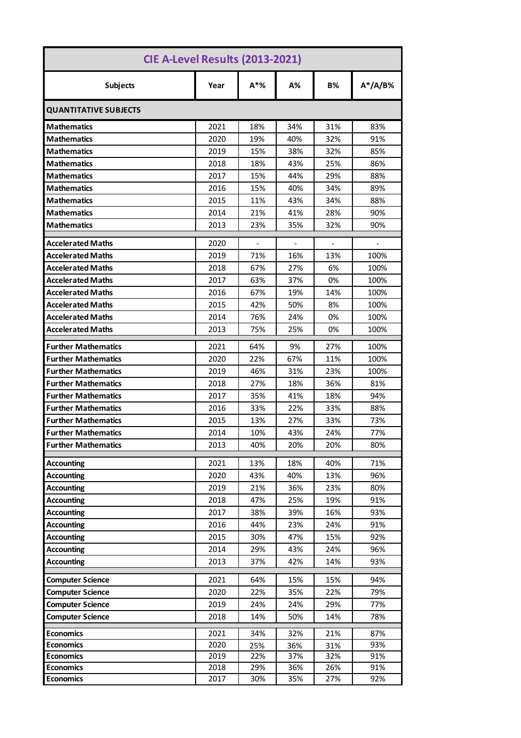| CIE A-Level Results (2013-2021)      |              |                          |                |                          |                              |  |  |
|--------------------------------------|--------------|--------------------------|----------------|--------------------------|------------------------------|--|--|
| <b>Subjects</b>                      | Year         | $A^*$ %                  | A%             | <b>B%</b>                | $A^*/A/B$ %                  |  |  |
| <b>QUANTITATIVE SUBJECTS</b>         |              |                          |                |                          |                              |  |  |
| <b>Mathematics</b>                   | 2021         | 18%                      | 34%            | 31%                      | 83%                          |  |  |
| <b>Mathematics</b>                   | 2020         | 19%                      | 40%            | 32%                      | 91%                          |  |  |
| <b>Mathematics</b>                   | 2019         | 15%                      | 38%            | 32%                      | 85%                          |  |  |
| <b>Mathematics</b>                   | 2018         | 18%                      | 43%            | 25%                      | 86%                          |  |  |
| <b>Mathematics</b>                   | 2017         | 15%                      | 44%            | 29%                      | 88%                          |  |  |
| <b>Mathematics</b>                   | 2016         | 15%                      | 40%            | 34%                      | 89%                          |  |  |
| <b>Mathematics</b>                   | 2015         | 11%                      | 43%            | 34%                      | 88%                          |  |  |
| <b>Mathematics</b>                   | 2014         | 21%                      | 41%            | 28%                      | 90%                          |  |  |
| <b>Mathematics</b>                   | 2013         | 23%                      | 35%            | 32%                      | 90%                          |  |  |
| <b>Accelerated Maths</b>             | 2020         | $\overline{\phantom{a}}$ | $\blacksquare$ | $\overline{\phantom{a}}$ | $\qquad \qquad \blacksquare$ |  |  |
| <b>Accelerated Maths</b>             | 2019         | 71%                      | 16%            | 13%                      | 100%                         |  |  |
| <b>Accelerated Maths</b>             | 2018         | 67%                      | 27%            | 6%                       | 100%                         |  |  |
| <b>Accelerated Maths</b>             | 2017         | 63%                      | 37%            | 0%                       | 100%                         |  |  |
| <b>Accelerated Maths</b>             | 2016         | 67%                      | 19%            | 14%                      | 100%                         |  |  |
| <b>Accelerated Maths</b>             | 2015         | 42%                      | 50%            | 8%                       | 100%                         |  |  |
| <b>Accelerated Maths</b>             | 2014         | 76%                      | 24%            | 0%                       | 100%                         |  |  |
| <b>Accelerated Maths</b>             | 2013         | 75%                      | 25%            | 0%                       | 100%                         |  |  |
| <b>Further Mathematics</b>           | 2021         | 64%                      | 9%             | 27%                      | 100%                         |  |  |
| <b>Further Mathematics</b>           | 2020         | 22%                      | 67%            | 11%                      | 100%                         |  |  |
| <b>Further Mathematics</b>           | 2019         | 46%                      | 31%            | 23%                      | 100%                         |  |  |
| <b>Further Mathematics</b>           | 2018         | 27%                      | 18%            | 36%                      | 81%                          |  |  |
| <b>Further Mathematics</b>           | 2017         | 35%                      | 41%            | 18%                      | 94%                          |  |  |
| <b>Further Mathematics</b>           | 2016         | 33%                      | 22%            | 33%                      | 88%                          |  |  |
| <b>Further Mathematics</b>           | 2015         | 13%                      | 27%            | 33%                      | 73%                          |  |  |
| <b>Further Mathematics</b>           | 2014         | 10%                      | 43%            | 24%                      | 77%                          |  |  |
| <b>Further Mathematics</b>           | 2013         | 40%                      | 20%            | 20%                      | 80%                          |  |  |
| <b>Accounting</b>                    | 2021         | 13%                      | 18%            | 40%                      | 71%                          |  |  |
| <b>Accounting</b>                    | 2020         | 43%                      | 40%            | 13%                      | 96%                          |  |  |
| <b>Accounting</b>                    | 2019         | 21%                      | 36%            | 23%                      | 80%                          |  |  |
| <b>Accounting</b>                    | 2018         | 47%                      | 25%            | 19%                      | 91%                          |  |  |
| <b>Accounting</b>                    | 2017         | 38%                      | 39%            | 16%                      | 93%                          |  |  |
| <b>Accounting</b>                    | 2016         | 44%                      | 23%            | 24%                      | 91%                          |  |  |
| <b>Accounting</b>                    | 2015         | 30%                      | 47%            | 15%                      | 92%                          |  |  |
| <b>Accounting</b>                    | 2014         | 29%                      | 43%            | 24%                      | 96%                          |  |  |
| <b>Accounting</b>                    | 2013         | 37%                      | 42%            | 14%                      | 93%                          |  |  |
| <b>Computer Science</b>              | 2021         | 64%                      | 15%            | 15%                      | 94%                          |  |  |
| <b>Computer Science</b>              | 2020         | 22%                      | 35%            | 22%                      | 79%                          |  |  |
| <b>Computer Science</b>              | 2019         | 24%                      | 24%            | 29%                      | 77%                          |  |  |
| <b>Computer Science</b>              | 2018         | 14%                      | 50%            | 14%                      | 78%                          |  |  |
|                                      |              |                          |                |                          | 87%                          |  |  |
| <b>Economics</b><br><b>Economics</b> | 2021<br>2020 | 34%                      | 32%            | 21%<br>31%               | 93%                          |  |  |
| <b>Economics</b>                     | 2019         | 25%<br>22%               | 36%<br>37%     | 32%                      | 91%                          |  |  |
| <b>Economics</b>                     | 2018         | 29%                      | 36%            | 26%                      | 91%                          |  |  |
| <b>Economics</b>                     | 2017         | 30%                      | 35%            | 27%                      | 92%                          |  |  |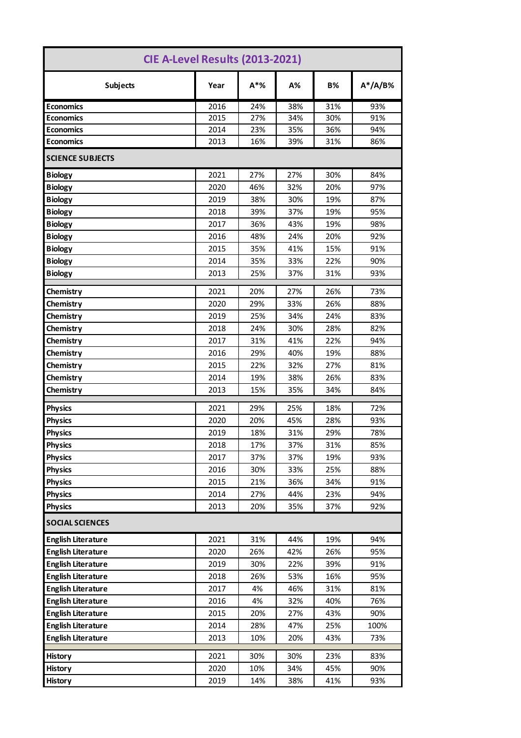| CIE A-Level Results (2013-2021) |      |         |     |           |             |  |  |  |
|---------------------------------|------|---------|-----|-----------|-------------|--|--|--|
| <b>Subjects</b>                 | Year | $A^*$ % | A%  | <b>B%</b> | $A^*/A/B$ % |  |  |  |
| <b>Economics</b>                | 2016 | 24%     | 38% | 31%       | 93%         |  |  |  |
| <b>Economics</b>                | 2015 | 27%     | 34% | 30%       | 91%         |  |  |  |
| <b>Economics</b>                | 2014 | 23%     | 35% | 36%       | 94%         |  |  |  |
| <b>Economics</b>                | 2013 | 16%     | 39% | 31%       | 86%         |  |  |  |
| <b>SCIENCE SUBJECTS</b>         |      |         |     |           |             |  |  |  |
| <b>Biology</b>                  | 2021 | 27%     | 27% | 30%       | 84%         |  |  |  |
| <b>Biology</b>                  | 2020 | 46%     | 32% | 20%       | 97%         |  |  |  |
| <b>Biology</b>                  | 2019 | 38%     | 30% | 19%       | 87%         |  |  |  |
| <b>Biology</b>                  | 2018 | 39%     | 37% | 19%       | 95%         |  |  |  |
| <b>Biology</b>                  | 2017 | 36%     | 43% | 19%       | 98%         |  |  |  |
| <b>Biology</b>                  | 2016 | 48%     | 24% | 20%       | 92%         |  |  |  |
| <b>Biology</b>                  | 2015 | 35%     | 41% | 15%       | 91%         |  |  |  |
| <b>Biology</b>                  | 2014 | 35%     | 33% | 22%       | 90%         |  |  |  |
| <b>Biology</b>                  | 2013 | 25%     | 37% | 31%       | 93%         |  |  |  |
| Chemistry                       | 2021 | 20%     | 27% | 26%       | 73%         |  |  |  |
| Chemistry                       | 2020 | 29%     | 33% | 26%       | 88%         |  |  |  |
| Chemistry                       | 2019 | 25%     | 34% | 24%       | 83%         |  |  |  |
| Chemistry                       | 2018 | 24%     | 30% | 28%       | 82%         |  |  |  |
| Chemistry                       | 2017 | 31%     | 41% | 22%       | 94%         |  |  |  |
| Chemistry                       | 2016 | 29%     | 40% | 19%       | 88%         |  |  |  |
| Chemistry                       | 2015 | 22%     | 32% | 27%       | 81%         |  |  |  |
| Chemistry                       | 2014 | 19%     | 38% | 26%       | 83%         |  |  |  |
| Chemistry                       | 2013 | 15%     | 35% | 34%       | 84%         |  |  |  |
| <b>Physics</b>                  | 2021 | 29%     | 25% | 18%       | 72%         |  |  |  |
| <b>Physics</b>                  | 2020 | 20%     | 45% | 28%       | 93%         |  |  |  |
| <b>Physics</b>                  | 2019 | 18%     | 31% | 29%       | 78%         |  |  |  |
| <b>Physics</b>                  | 2018 | 17%     | 37% | 31%       | 85%         |  |  |  |
| <b>Physics</b>                  | 2017 | 37%     | 37% | 19%       | 93%         |  |  |  |
| <b>Physics</b>                  | 2016 | 30%     | 33% | 25%       | 88%         |  |  |  |
| <b>Physics</b>                  | 2015 | 21%     | 36% | 34%       | 91%         |  |  |  |
| <b>Physics</b>                  | 2014 | 27%     | 44% | 23%       | 94%         |  |  |  |
| <b>Physics</b>                  | 2013 | 20%     | 35% | 37%       | 92%         |  |  |  |
| <b>SOCIAL SCIENCES</b>          |      |         |     |           |             |  |  |  |
| <b>English Literature</b>       | 2021 | 31%     | 44% | 19%       | 94%         |  |  |  |
| <b>English Literature</b>       | 2020 | 26%     | 42% | 26%       | 95%         |  |  |  |
| <b>English Literature</b>       | 2019 | 30%     | 22% | 39%       | 91%         |  |  |  |
| <b>English Literature</b>       | 2018 | 26%     | 53% | 16%       | 95%         |  |  |  |
| <b>English Literature</b>       | 2017 | 4%      | 46% | 31%       | 81%         |  |  |  |
| <b>English Literature</b>       | 2016 | 4%      | 32% | 40%       | 76%         |  |  |  |
| <b>English Literature</b>       | 2015 | 20%     | 27% | 43%       | 90%         |  |  |  |
| <b>English Literature</b>       | 2014 | 28%     | 47% | 25%       | 100%        |  |  |  |
| <b>English Literature</b>       | 2013 | 10%     | 20% | 43%       | 73%         |  |  |  |
| <b>History</b>                  | 2021 | 30%     | 30% | 23%       | 83%         |  |  |  |
| <b>History</b>                  | 2020 | 10%     | 34% | 45%       | 90%         |  |  |  |
| <b>History</b>                  | 2019 | 14%     | 38% | 41%       | 93%         |  |  |  |